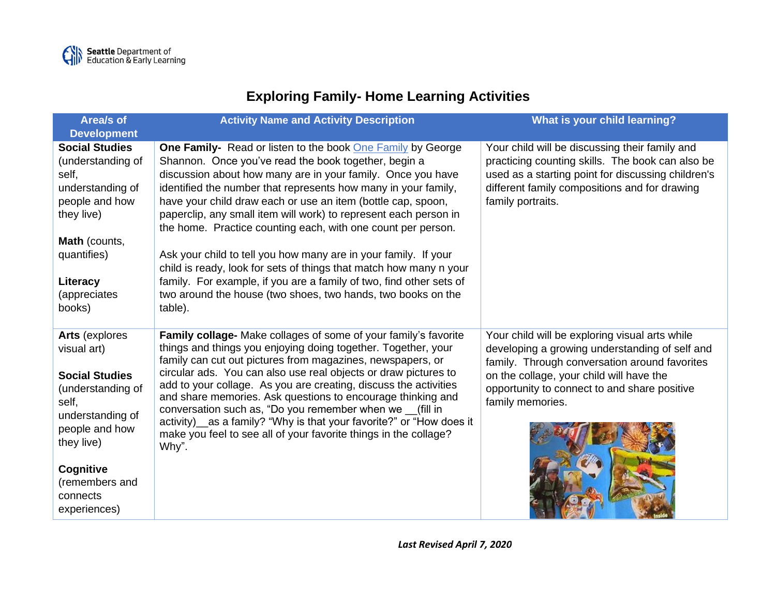## **Exploring Family- Home Learning Activities**

| Area/s of<br><b>Development</b>                                                                                                                  | <b>Activity Name and Activity Description</b>                                                                                                                                                                                                                                                                                                                                                                                                                                                                                                                                                                       | What is your child learning?                                                                                                                                                                                                                                      |
|--------------------------------------------------------------------------------------------------------------------------------------------------|---------------------------------------------------------------------------------------------------------------------------------------------------------------------------------------------------------------------------------------------------------------------------------------------------------------------------------------------------------------------------------------------------------------------------------------------------------------------------------------------------------------------------------------------------------------------------------------------------------------------|-------------------------------------------------------------------------------------------------------------------------------------------------------------------------------------------------------------------------------------------------------------------|
| <b>Social Studies</b><br>(understanding of<br>self,<br>understanding of<br>people and how<br>they live)                                          | One Family- Read or listen to the book One Family by George<br>Shannon. Once you've read the book together, begin a<br>discussion about how many are in your family. Once you have<br>identified the number that represents how many in your family,<br>have your child draw each or use an item (bottle cap, spoon,<br>paperclip, any small item will work) to represent each person in<br>the home. Practice counting each, with one count per person.                                                                                                                                                            | Your child will be discussing their family and<br>practicing counting skills. The book can also be<br>used as a starting point for discussing children's<br>different family compositions and for drawing<br>family portraits.                                    |
| <b>Math</b> (counts,<br>quantifies)<br>Literacy<br>(appreciates<br>books)                                                                        | Ask your child to tell you how many are in your family. If your<br>child is ready, look for sets of things that match how many n your<br>family. For example, if you are a family of two, find other sets of<br>two around the house (two shoes, two hands, two books on the<br>table).                                                                                                                                                                                                                                                                                                                             |                                                                                                                                                                                                                                                                   |
| <b>Arts (explores)</b><br>visual art)<br><b>Social Studies</b><br>(understanding of<br>self,<br>understanding of<br>people and how<br>they live) | Family collage- Make collages of some of your family's favorite<br>things and things you enjoying doing together. Together, your<br>family can cut out pictures from magazines, newspapers, or<br>circular ads. You can also use real objects or draw pictures to<br>add to your collage. As you are creating, discuss the activities<br>and share memories. Ask questions to encourage thinking and<br>conversation such as, "Do you remember when we (fill in<br>activity) as a family? "Why is that your favorite?" or "How does it<br>make you feel to see all of your favorite things in the collage?<br>Why". | Your child will be exploring visual arts while<br>developing a growing understanding of self and<br>family. Through conversation around favorites<br>on the collage, your child will have the<br>opportunity to connect to and share positive<br>family memories. |
| Cognitive<br>(remembers and<br>connects<br>experiences)                                                                                          |                                                                                                                                                                                                                                                                                                                                                                                                                                                                                                                                                                                                                     |                                                                                                                                                                                                                                                                   |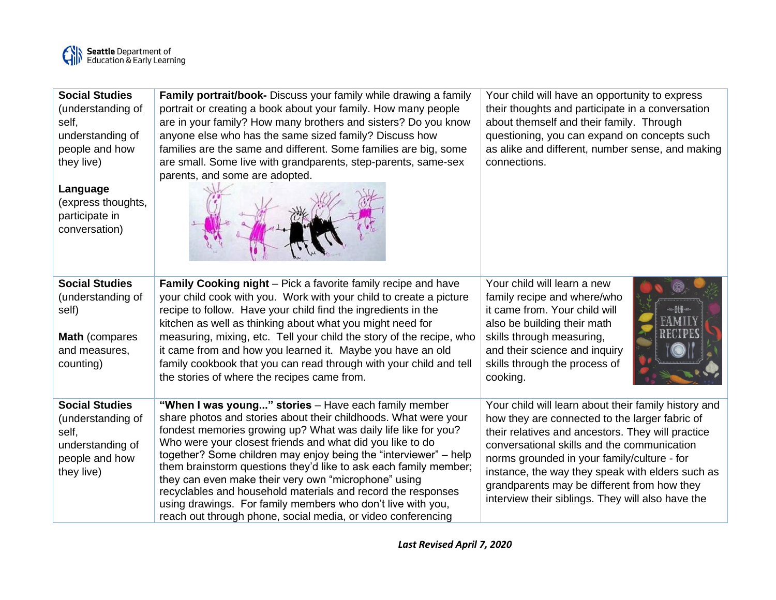

| <b>Social Studies</b><br>(understanding of<br>self.<br>understanding of<br>people and how<br>they live)<br>Language<br>(express thoughts,<br>participate in<br>conversation) | Family portrait/book- Discuss your family while drawing a family<br>portrait or creating a book about your family. How many people<br>are in your family? How many brothers and sisters? Do you know<br>anyone else who has the same sized family? Discuss how<br>families are the same and different. Some families are big, some<br>are small. Some live with grandparents, step-parents, same-sex<br>parents, and some are adopted.                                                                                                                                                                                                                | Your child will have an opportunity to express<br>their thoughts and participate in a conversation<br>about themself and their family. Through<br>questioning, you can expand on concepts such<br>as alike and different, number sense, and making<br>connections.                                                                                                                                                |
|------------------------------------------------------------------------------------------------------------------------------------------------------------------------------|-------------------------------------------------------------------------------------------------------------------------------------------------------------------------------------------------------------------------------------------------------------------------------------------------------------------------------------------------------------------------------------------------------------------------------------------------------------------------------------------------------------------------------------------------------------------------------------------------------------------------------------------------------|-------------------------------------------------------------------------------------------------------------------------------------------------------------------------------------------------------------------------------------------------------------------------------------------------------------------------------------------------------------------------------------------------------------------|
| <b>Social Studies</b><br>(understanding of<br>self)<br>Math (compares<br>and measures,<br>counting)                                                                          | <b>Family Cooking night</b> – Pick a favorite family recipe and have<br>your child cook with you. Work with your child to create a picture<br>recipe to follow. Have your child find the ingredients in the<br>kitchen as well as thinking about what you might need for<br>measuring, mixing, etc. Tell your child the story of the recipe, who<br>it came from and how you learned it. Maybe you have an old<br>family cookbook that you can read through with your child and tell<br>the stories of where the recipes came from.                                                                                                                   | Your child will learn a new<br>family recipe and where/who<br>it came from. Your child will<br>also be building their math<br>skills through measuring,<br>and their science and inquiry<br>skills through the process of<br>cooking.                                                                                                                                                                             |
| <b>Social Studies</b><br>(understanding of<br>self,<br>understanding of<br>people and how<br>they live)                                                                      | "When I was young" stories - Have each family member<br>share photos and stories about their childhoods. What were your<br>fondest memories growing up? What was daily life like for you?<br>Who were your closest friends and what did you like to do<br>together? Some children may enjoy being the "interviewer" – help<br>them brainstorm questions they'd like to ask each family member;<br>they can even make their very own "microphone" using<br>recyclables and household materials and record the responses<br>using drawings. For family members who don't live with you,<br>reach out through phone, social media, or video conferencing | Your child will learn about their family history and<br>how they are connected to the larger fabric of<br>their relatives and ancestors. They will practice<br>conversational skills and the communication<br>norms grounded in your family/culture - for<br>instance, the way they speak with elders such as<br>grandparents may be different from how they<br>interview their siblings. They will also have the |